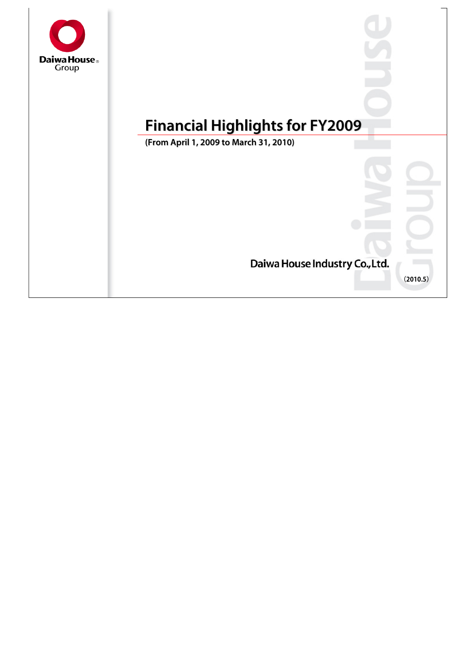

# **Financial Highlights for FY2009 Financial Highlights for FY2009**

**(From April 1, 2009 to March 31, 2010) (From April 1, 2009 to March 31, 2010)**

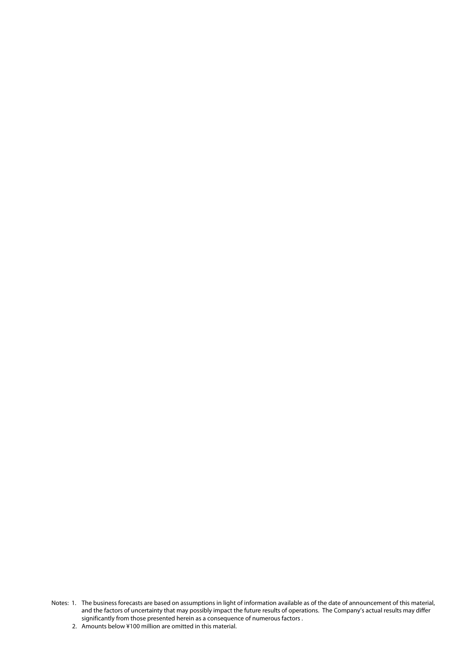- Notes: 1. The business forecasts are based on assumptions in light of information available as of the date of announcement of this material, and the factors of uncertainty that may possibly impact the future results of operations. The Company's actual results may differ significantly from those presented herein as a consequence of numerous factors .
	- 2. Amounts below ¥100 million are omitted in this material.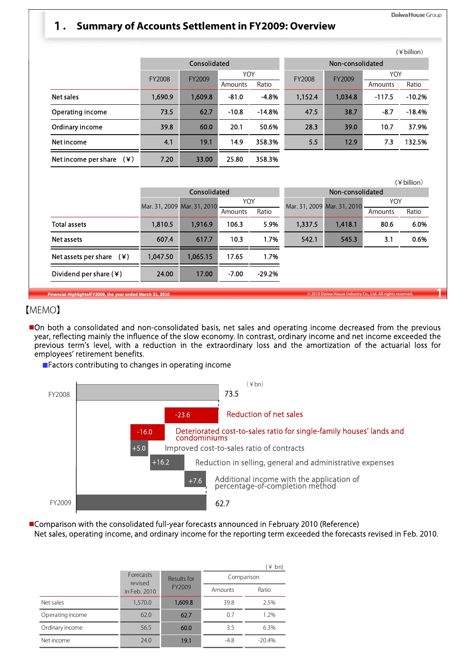#### Daiwa House Group

### 1**. Summary of Accounts Settlement in FY2009: Overview**

|                                            |         |              |                    |            |                  |         |          | (¥billion) |
|--------------------------------------------|---------|--------------|--------------------|------------|------------------|---------|----------|------------|
|                                            |         | Consolidated |                    |            | Non-consolidated |         |          |            |
|                                            | FY2008  | FY2009       |                    | <b>YOY</b> |                  | FY2009  | YOY      |            |
|                                            |         |              | Amounts            | Ratio      | FY2008           |         | Amounts  | Ratio      |
| Net sales                                  | 1,690.9 | 1,609.8      | $-81.0$<br>$-4.8%$ |            | 1,152.4          | 1,034.8 | $-117.5$ | $-10.2%$   |
| Operating income                           | 73.5    | 62.7         | $-10.8$            | $-14.8%$   | 47.5             | 38.7    | $-8.7$   | $-18.4%$   |
| Ordinary income                            | 39.8    | 60.0         | 20.1               | 50.6%      | 28.3             | 39.0    | 10.7     | 37.9%      |
| Net income                                 | 4.1     | 19.1         | 14.9               | 358.3%     | 5.5              | 12.9    | 7.3      | 132.5%     |
| $(\divideontimes)$<br>Net income per share | 7.20    | 33.00        | 25.80              | 358.3%     |                  |         |          |            |

|                                                                                                                          |          |                             |                     |                       | (¥ billion)      |                             |         |       |
|--------------------------------------------------------------------------------------------------------------------------|----------|-----------------------------|---------------------|-----------------------|------------------|-----------------------------|---------|-------|
|                                                                                                                          |          | Consolidated                |                     |                       | Non-consolidated |                             |         |       |
|                                                                                                                          |          | Mar. 31, 2009 Mar. 31, 2010 |                     | YOY<br>Ratio          |                  | Mar. 31, 2009 Mar. 31, 2010 | YOY     |       |
|                                                                                                                          |          |                             | Amounts             |                       |                  |                             | Amounts | Ratio |
| <b>Total assets</b>                                                                                                      | 1,810.5  | 1,916.9                     | 106.3               | 5.9%                  | 1,337.5          | 1,418.1                     | 80.6    | 6.0%  |
| Net assets                                                                                                               | 607.4    | 617.7                       | 10.3                | 1.7%<br>17.65<br>1.7% |                  | 545.3                       | 3.1     | 0.6%  |
| Net assets per share $(*)$                                                                                               | 1,047.50 | 1,065.15                    |                     |                       |                  |                             |         |       |
| Dividend per share $(*)$                                                                                                 | 24.00    | 17.00                       | $-7.00$<br>$-29.2%$ |                       |                  |                             |         |       |
| © 2010 Daiwa House Industry Co., Ltd. All rights reserved.<br>Financial Highlights/FY2009, the year ended March 31, 2010 |          |                             |                     |                       |                  |                             |         |       |

#### 【MEMO】

On both a consolidated and non-consolidated basis, net sales and operating income decreased from the previous year, reflecting mainly the influence of the slow economy. In contrast, ordinary income and net income exceeded the previous term's level, with a reduction in the extraordinary loss and the amortization of the actuarial loss for employees' retirement benefits.

■Factors contributing to changes in operating income



Comparison with the consolidated full-year forecasts announced in February 2010 (Reference) Net sales, operating income, and ordinary income for the reporting term exceeded the forecasts revised in Feb. 2010.

|                  |                             |             |            | (¥ bn)   |  |  |
|------------------|-----------------------------|-------------|------------|----------|--|--|
|                  | <b>Forecasts</b><br>revised | Results for | Comparison |          |  |  |
| in Feb. 2010     |                             | FY2009      | Amounts    | Ratio    |  |  |
| Net sales        | 1,570.0                     | 1,609.8     | 39.8       | 2.5%     |  |  |
| Operating income | 62.0                        | 62.7        | 0.7        | 1.2%     |  |  |
| Ordinary income  | 56.5                        | 60.0        | 3.5        | 6.3%     |  |  |
| Net income       | 24.0                        | 19.1        | $-4.8$     | $-20.4%$ |  |  |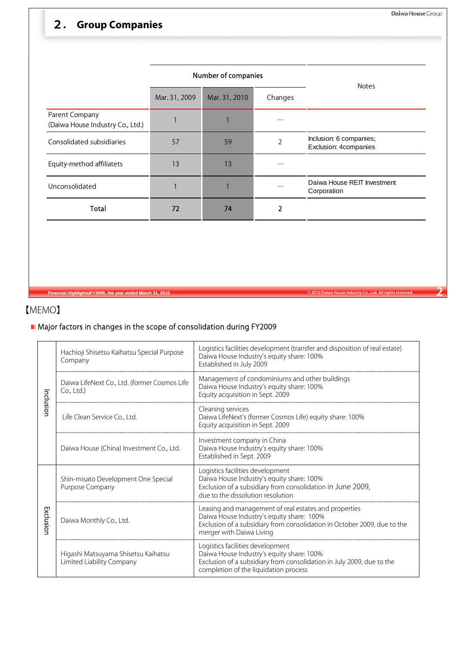## 2**. Group Companies**

|                                                    |               | Number of companies      | <b>Notes</b> |                                                  |
|----------------------------------------------------|---------------|--------------------------|--------------|--------------------------------------------------|
|                                                    | Mar. 31, 2009 | Mar. 31, 2010<br>Changes |              |                                                  |
| Parent Company<br>(Daiwa House Industry Co., Ltd.) |               |                          |              |                                                  |
| Consolidated subsidiaries                          | 57            | 59                       | 2            | Inclusion: 6 companies;<br>Exclusion: 4companies |
| Equity-method affiliatets                          | 13            | 13                       |              |                                                  |
| Unconsolidated                                     |               |                          |              | Daiwa House REIT Investment<br>Corporation       |
| <b>Total</b>                                       | 72            | 74                       | 2            |                                                  |

**Financial Highlights/FY2009, the year ended March 31, 2010 © 2010 Daiwa House Industry Co., Ltd. All rights reserved. 2**

## 【MEMO】

## Major factors in changes in the scope of consolidation during FY2009

|           | Hachioji Shisetsu Kaihatsu Special Purpose<br>Company            | Logistics facilities development (transfer and disposition of real estate)<br>Daiwa House Industry's equity share: 100%<br>Established in July 2009                                                        |  |  |  |  |  |
|-----------|------------------------------------------------------------------|------------------------------------------------------------------------------------------------------------------------------------------------------------------------------------------------------------|--|--|--|--|--|
|           | Daiwa LifeNext Co., Ltd. (former Cosmos Life<br>Co., Ltd.)       | Management of condominiums and other buildings<br>Daiwa House Industry's equity share: 100%<br>Equity acquisition in Sept. 2009                                                                            |  |  |  |  |  |
| Inclusion | Life Clean Service Co., Ltd.                                     | Cleaning services<br>Daiwa LifeNext's (former Cosmos Life) equity share: 100%<br>Equity acquisition in Sept. 2009                                                                                          |  |  |  |  |  |
|           | Daiwa House (China) Investment Co., Ltd.                         | Investment company in China<br>Daiwa House Industry's equity share: 100%<br>Established in Sept. 2009                                                                                                      |  |  |  |  |  |
|           | Shin-misato Development One Special<br>Purpose Company           | Logistics facilities development<br>Daiwa House Industry's equity share: 100%<br>Exclusion of a subsidiary from consolidation in June 2009,<br>due to the dissolution resolution                           |  |  |  |  |  |
| Exclusion | Daiwa Monthly Co., Ltd.                                          | Leasing and management of real estates and properties<br>Daiwa House Industry's equity share: 100%<br>Exclusion of a subsidiary from consolidation in October 2009, due to the<br>merger with Daiwa Living |  |  |  |  |  |
|           | Higashi Matsuyama Shisetsu Kaihatsu<br>Limited Liability Company | Logistics facilities development<br>Daiwa House Industry's equity share: 100%<br>Exclusion of a subsidiary from consolidation in July 2009, due to the<br>completion of the liquidation process            |  |  |  |  |  |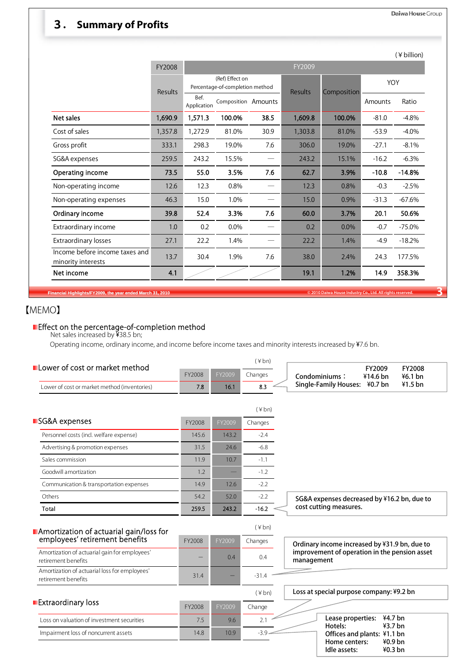## 3**. Summary of Profits**

|  | (¥billion) |
|--|------------|

|                                                      | FY2008                                                               |                     |                     |      |         |        |         |          |
|------------------------------------------------------|----------------------------------------------------------------------|---------------------|---------------------|------|---------|--------|---------|----------|
|                                                      | (Ref) Effect on<br>Percentage-of-completion method<br><b>Results</b> |                     | Composition         | YOY  |         |        |         |          |
|                                                      | Results                                                              | Bef.<br>Application | Composition Amounts |      |         |        | Amounts | Ratio    |
| Net sales                                            | 1,690.9                                                              | 1,571.3             | 100.0%              | 38.5 | 1,609.8 | 100.0% | $-81.0$ | $-4.8%$  |
| Cost of sales                                        | 1,357.8                                                              | 1,272.9             | 81.0%               | 30.9 | 1,303.8 | 81.0%  | $-53.9$ | $-4.0%$  |
| Gross profit                                         | 333.1                                                                | 298.3               | 19.0%               | 7.6  | 306.0   | 19.0%  | $-27.1$ | $-8.1%$  |
| SG&A expenses                                        | 259.5                                                                | 243.2               | 15.5%               |      | 243.2   | 15.1%  | $-16.2$ | $-6.3%$  |
| Operating income                                     | 73.5                                                                 | 55.0                | 3.5%                | 7.6  | 62.7    | 3.9%   | $-10.8$ | $-14.8%$ |
| Non-operating income                                 | 12.6                                                                 | 12.3                | 0.8%                |      | 12.3    | 0.8%   | $-0.3$  | $-2.5%$  |
| Non-operating expenses                               | 46.3                                                                 | 15.0                | 1.0%                |      | 15.0    | 0.9%   | $-31.3$ | $-67.6%$ |
| Ordinary income                                      | 39.8                                                                 | 52.4                | 3.3%                | 7.6  | 60.0    | 3.7%   | 20.1    | 50.6%    |
| Extraordinary income                                 | 1.0                                                                  | 0.2                 | 0.0%                |      | 0.2     | 0.0%   | $-0.7$  | $-75.0%$ |
| <b>Extraordinary losses</b>                          | 27.1                                                                 | 22.2                | 1.4%                |      | 22.2    | 1.4%   | $-4.9$  | $-18.2%$ |
| Income before income taxes and<br>minority interests | 13.7                                                                 | 30.4                | 1.9%                | 7.6  | 38.0    | 2.4%   | 24.3    | 177.5%   |
| Net income                                           | 4.1                                                                  |                     |                     |      | 19.1    | 1.2%   | 14.9    | 358.3%   |

**Financial Highlights/FY2009, the year ended March 31, 2010 Co., Ltd. All rights reserved. Co., Ltd. All rights reserved. 2010 Daiwa House Industry Co., Ltd. All rights reserved.** 

## 【MEMO】

#### Effect on the percentage-of-completion method

Net sales increased by ¥38.5 bn;

Operating income, ordinary income, and income before income taxes and minority interests increased by ¥7.6 bn.

|                                                                           |        |        | $(\nPsi b)$    |                                                                           |
|---------------------------------------------------------------------------|--------|--------|----------------|---------------------------------------------------------------------------|
| Lower of cost or market method                                            | FY2008 | FY2009 | Changes        | FY2009<br><b>FY2008</b><br>Condominiums:<br>¥14.6 bn<br>$46.1$ bn         |
| Lower of cost or market method (inventories)                              | 7.8    | 16.1   | 8.3            | $41.5$ bn<br>Single-Family Houses: ¥0.7 bn                                |
|                                                                           |        |        |                |                                                                           |
|                                                                           |        |        | $(*bn)$        |                                                                           |
| SG&A expenses                                                             | FY2008 | FY2009 | Changes        |                                                                           |
| Personnel costs (incl. welfare expense)                                   | 145.6  | 143.2  | $-2.4$         |                                                                           |
| Advertising & promotion expenses                                          | 31.5   | 24.6   | $-6.8$         |                                                                           |
| Sales commission                                                          | 11.9   | 10.7   | $-1.1$         |                                                                           |
| Goodwill amortization                                                     | 1.2    |        | $-1.2$         |                                                                           |
| Communication & transportation expenses                                   | 14.9   | 12.6   | $-2.2$         |                                                                           |
| Others                                                                    | 54.2   | 52.0   | $-2.2$         | SG&A expenses decreased by ¥16.2 bn, due to                               |
| Total                                                                     | 259.5  | 243.2  | $-16.2$        | cost cutting measures.                                                    |
|                                                                           |        |        | $(\nless b n)$ |                                                                           |
| Amortization of actuarial gain/loss for<br>employees' retirement benefits |        |        |                |                                                                           |
|                                                                           | FY2008 | FY2009 | Changes        | Ordinary income increased by ¥31.9 bn, due to                             |
| Amortization of actuarial gain for employees'<br>retirement benefits      |        | 0.4    | 0.4            | improvement of operation in the pension asset<br>management               |
| Amortization of actuarial loss for employees'<br>retirement benefits      | 31.4   |        | $-31.4$        |                                                                           |
|                                                                           |        |        | $(*bn)$        | Loss at special purpose company: ¥9.2 bn                                  |
| <b>Extraordinary loss</b>                                                 | FY2008 | FY2009 | Change         |                                                                           |
| Loss on valuation of investment securities                                | 7.5    | 9.6    | 2.1            | 44.7 <sub>bn</sub><br>Lease properties:                                   |
| Impairment loss of noncurrent assets                                      | 14.8   | 10.9   | $-3.9$         | 43.7 <sub>bn</sub><br>Hotels:<br>Offices and plants: ¥1.1 bn              |
|                                                                           |        |        |                | 40.9 <sub>bn</sub><br>Home centers:<br>40.3 <sub>bn</sub><br>Idle assets: |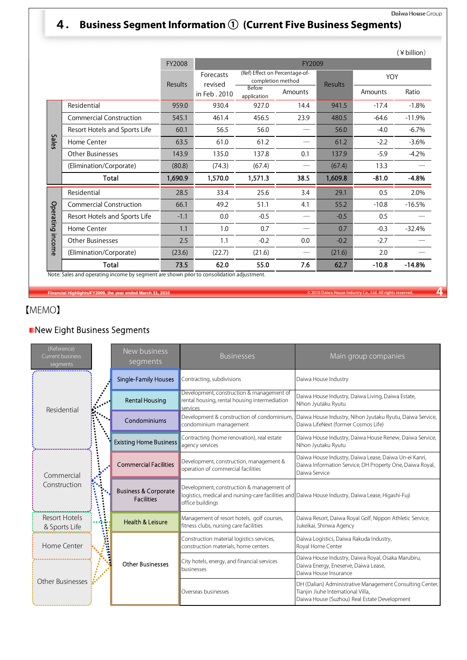#### Daiwa House Group

## 4**. Business Segment Information** ① **(Current Five Business Segments)**

|           |                                |                  |                      |                                                     |         |                |         | (¥ billion) |  |
|-----------|--------------------------------|------------------|----------------------|-----------------------------------------------------|---------|----------------|---------|-------------|--|
|           |                                | FY2008           |                      | FY2009                                              |         |                |         |             |  |
|           |                                | Results          | Forecasts<br>revised | (Ref) Effect on Percentage-of-<br>completion method |         | <b>Results</b> | YOY     |             |  |
|           |                                |                  | in Feb. 2010         | Before<br>application                               | Amounts |                | Amounts | Ratio       |  |
|           | Residential                    | 959.0            | 930.4                | 927.0                                               | 14.4    | 941.5          | $-17.4$ | $-1.8%$     |  |
|           | <b>Commercial Construction</b> | 545.1            | 461.4                | 456.5                                               | 23.9    | 480.5          | $-64.6$ | $-11.9%$    |  |
|           | Resort Hotels and Sports Life  | 60.1             | 56.5                 | 56.0                                                |         | 56.0           | $-4.0$  | $-6.7%$     |  |
| Sales     | Home Center                    | 63.5             | 61.0                 | 61.2                                                |         | 61.2           | $-2.2$  | $-3.6%$     |  |
|           | Other Businesses               | 143.9            | 135.0                | 137.8                                               | 0.1     | 137.9          | $-5.9$  | $-4.2%$     |  |
|           | (Elimination/Corporate)        | (80.8)           | (74.3)               | (67.4)                                              |         | (67.4)         | 13.3    |             |  |
|           | Total                          | 1,690.9          | 1,570.0              | 1,571.3                                             | 38.5    | 1,609.8        | $-81.0$ | $-4.8%$     |  |
|           | Residential                    | 28.5             | 33.4                 | 25.6                                                | 3.4     | 29.1           | 0.5     | 2.0%        |  |
|           | <b>Commercial Construction</b> | 66.1             | 49.2                 | 51.1                                                | 4.1     | 55.2           | $-10.8$ | $-16.5%$    |  |
| Operating | Resort Hotels and Sports Life  | $-1.1$           | 0.0                  | $-0.5$                                              |         | $-0.5$         | 0.5     |             |  |
|           | Home Center                    | 1.1              | 1.0                  | 0.7                                                 |         | 0.7            | $-0.3$  | $-32.4%$    |  |
| income    | <b>Other Businesses</b>        | 2.5              | 1.1                  | $-0.2$                                              | 0.0     | $-0.2$         | $-2.7$  |             |  |
|           | (Elimination/Corporate)        | (23.6)<br>(22.7) |                      | (21.6)                                              |         |                | 2.0     |             |  |
|           | <b>Total</b>                   | 73.5             | 62.0                 | 55.0                                                | 7.6     | 62.7           | $-10.8$ | $-14.8%$    |  |

Note: Sales and operating income by segment are shown prior to consolidation adjustment.

**Financial Highlights/FY2009, the year ended March 31, 2010 COLL CONSTRANT CONSTRANT CONSTRANT CONSTRANT CONSTRANT CONSTRANT CONSTRANT CONSTRANT CONSTRANT CONSTRANT CONSTRANT CONSTRANT CONSTRANT CONSTRANT CONSTRANT CONST** 

## 【MEMO】

### New Eight Business Segments

| (Reference)<br>Current business<br>segments |    | New business<br>segments                             | <b>Businesses</b>                                                                                      | Main group companies                                                                                                                           |  |  |
|---------------------------------------------|----|------------------------------------------------------|--------------------------------------------------------------------------------------------------------|------------------------------------------------------------------------------------------------------------------------------------------------|--|--|
|                                             |    | <b>Single-Family Houses</b>                          | Contracting, subdivisions                                                                              | Daiwa House Industry                                                                                                                           |  |  |
| Residential                                 |    | <b>Rental Housing</b>                                | Development, construction & management of<br>rental housing, rental housing intermediation<br>services | Daiwa House Industry, Daiwa Living, Daiwa Estate,<br>Nihon Jyutaku Ryutu                                                                       |  |  |
|                                             |    | Condominiums                                         | Development & construction of condominium,<br>condominium management                                   | Daiwa House Industry, Nihon Jyutaku Ryutu, Daiwa Service,<br>Daiwa LifeNext (former Cosmos Life)                                               |  |  |
|                                             |    | <b>Existing Home Business</b>                        | Contracting (home renovation), real estate<br>agency services                                          | Daiwa House Industry, Daiwa House Renew, Daiwa Service,<br>Nihon Jyutaku Ryutu                                                                 |  |  |
| Commercial                                  |    | <b>Commercial Facilities</b>                         | Development, construction, management &<br>operation of commercial facilities                          | Daiwa House Industry, Daiwa Lease, Daiwa Un-ei Kanri,<br>Daiwa Information Service, DH Property One, Daiwa Royal,<br>Daiwa Service             |  |  |
| Construction                                |    | <b>Business &amp; Corporate</b><br><b>Facilities</b> | Development, construction & management of<br>office buildings                                          | logistics, medical and nursing-care facilities and Daiwa House Industry, Daiwa Lease, Higashi-Fuji                                             |  |  |
| <b>Resort Hotels</b><br>& Sports Life       |    | Health & Leisure                                     | Management of resort hotels, golf courses,<br>fitness clubs, nursing care facilities                   | Daiwa Resort, Daiwa Royal Golf, Nippon Athletic Service,<br>Jukeikai, Shinwa Agency                                                            |  |  |
| Home Center                                 | î, |                                                      | Construction material logistics services,<br>construction materials, home centers                      | Daiwa Logistics, Daiwa Rakuda Industry,<br>Royal Home Center                                                                                   |  |  |
|                                             |    | <b>Other Businesses</b>                              | City hotels, energy, and financial services<br>businesses                                              | Daiwa House Industry, Daiwa Royal, Osaka Marubiru,<br>Daiwa Energy, Eneserve, Daiwa Lease,<br>Daiwa House Insurance                            |  |  |
| <b>Other Businesses</b>                     |    |                                                      | Overseas businesses                                                                                    | DH (Dalian) Administrative Management Consulting Center,<br>Tianjin Jiuhe International Villa,<br>Daiwa House (Suzhou) Real Estate Development |  |  |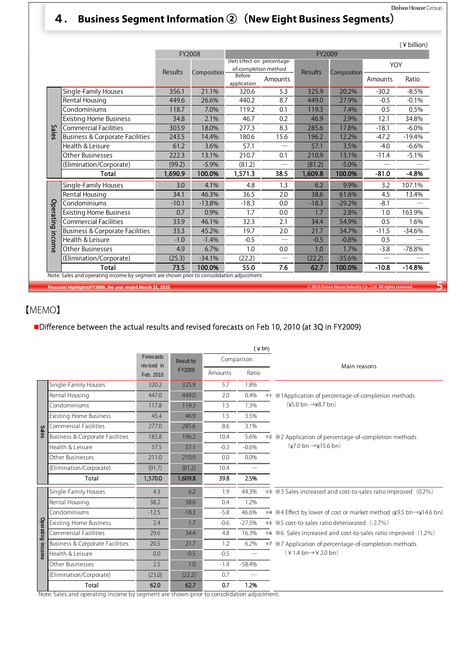## 4**. Business Segment Information** ②(**New Eight Business Segments**)

|           |                                            |                |             |                                                     |                                |                |             |         | (¥ billion) |  |
|-----------|--------------------------------------------|----------------|-------------|-----------------------------------------------------|--------------------------------|----------------|-------------|---------|-------------|--|
|           |                                            | FY2008         |             | FY2009                                              |                                |                |             |         |             |  |
|           |                                            | <b>Results</b> | Composition | (Ref) Effect on percentage-<br>of-completion method |                                | <b>Results</b> | Composition | YOY     |             |  |
|           |                                            |                |             | <b>Before</b><br>application                        | Amounts                        |                |             | Amounts | Ratio       |  |
|           | Single-Family Houses                       | 356.1          | 21.1%       | 320.6                                               | 5.3                            | 325.9          | 20.2%       | $-30.2$ | $-8.5%$     |  |
|           | Rental Housing                             | 449.6          | 26.6%       | 440.2                                               | 8.7                            | 449.0          | 27.9%       | $-0.5$  | $-0.1%$     |  |
|           | Condominiums                               | 118.7          | 7.0%        | 119.2                                               | 0.1                            | 119.3          | 7.4%        | 0.5     | 0.5%        |  |
|           | <b>Existing Home Business</b>              | 34.8           | 2.1%        | 46.7                                                | 0.2                            | 46.9           | 2.9%        | 12.1    | 34.8%       |  |
| δā        | <b>Commercial Facilities</b>               | 303.9          | 18.0%       | 277.3                                               | 8.3                            | 285.6          | 17.8%       | $-18.1$ | $-6.0\%$    |  |
| ā         | Business & Corporate Facilities            | 243.5          | 14.4%       | 180.6                                               | 15.6                           | 196.2          | 12.2%       | $-47.2$ | $-19.4%$    |  |
|           | Health & Leisure                           | 61.2           | 3.6%        | 57.1                                                | $\overline{\phantom{0}}$       | 57.1           | 3.5%        | $-4.0$  | $-6.6%$     |  |
|           | <b>Other Businesses</b>                    | 222.3          | 13.1%       | 210.7                                               | 0.1                            | 210.9          | 13.1%       | $-11.4$ | $-5.1%$     |  |
|           | (Elimination/Corporate)                    | (99.2)         | $-5.9%$     | (81.2)                                              |                                | (81.2)         | $-5.0\%$    |         |             |  |
|           | Total                                      | 1,690.9        | 100.0%      | 1,571.3                                             | 38.5                           | 1,609.8        | 100.0%      | $-81.0$ | $-4.8%$     |  |
|           | Single-Family Houses                       | 3.0            | 4.1%        | 4.8                                                 | 1.3                            | 6.2            | 9.9%        | 3.2     | 107.1%      |  |
|           | Rental Housing                             | 34.1           | 46.3%       | 36.5                                                | 2.0                            | 38.6           | 61.6%       | 4.5     | 13.4%       |  |
|           | Condominiums                               | $-10.1$        | $-13.8%$    | $-18.3$                                             | 0.0                            | $-18.3$        | $-29.2%$    | $-8.1$  |             |  |
|           | <b>Existing Home Business</b>              | 0.7            | 0.9%        | 1.7                                                 | 0.0                            | 1.7            | 2.8%        | 1.0     | 163.9%      |  |
| Operating | <b>Commercial Facilities</b>               | 33.9           | 46.1%       | 32.3                                                | 2.1                            | 34.4           | 54.9%       | 0.5     | 1.6%        |  |
|           | <b>Business &amp; Corporate Facilities</b> | 33.3           | 45.2%       | 19.7                                                | 2.0                            | 21.7           | 34.7%       | $-11.5$ | $-34.6%$    |  |
| income    | Health & Leisure                           | $-1.0$         | $-1.4%$     | $-0.5$                                              | $\overline{\phantom{0}}$       | $-0.5$         | $-0.8%$     | 0.5     |             |  |
|           | Other Businesses                           | 4.9            | 6.7%        | 1.0                                                 | 0.0                            | 1.0            | 1.7%        | $-3.8$  | $-78.8%$    |  |
|           | (Elimination/Corporate)                    | (25.3)         | $-34.1%$    | (22.2)                                              | $\qquad \qquad \longleftarrow$ | (22.2)         | $-35.6%$    |         |             |  |
|           | Total                                      | 73.5           | 100.0%      | 55.0                                                | 7.6                            | 62.7           | 100.0%      | $-10.8$ | $-14.8%$    |  |

**Financial Highlights/FY2009, the year ended March 31, 2010 Co., Ltd. All rights reserved. 5Co., Ltd. All rights reserved. 5** 

## 【MEMO】

## Difference between the actual results and revised forecasts on Feb 10, 2010 (at 3Q in FY2009)

|              |                                            |                         |                   |                            |            | $(\nless b n)$ |                                                                   |  |  |
|--------------|--------------------------------------------|-------------------------|-------------------|----------------------------|------------|----------------|-------------------------------------------------------------------|--|--|
|              |                                            | Forecasts               | <b>Result for</b> |                            | Comparison |                |                                                                   |  |  |
|              |                                            | revised in<br>Feb. 2010 |                   | FY2009<br>Ratio<br>Amounts |            |                | Main reasons                                                      |  |  |
|              | Single-Family Houses                       | 320.2                   | 325.9             | 5.7                        | 1.8%       |                |                                                                   |  |  |
|              | Rental Housing                             | 447.0                   | 449.0             | 2.0                        | 0.4%       | $*1$           | *1Application of percentage-of-completion methods                 |  |  |
|              | Condominiums                               | 117.8                   | 119.3             | 1.5                        | 1.3%       |                | $(\yen 5.0 \text{ bn} \rightarrow \yen 8.7 \text{ bn})$           |  |  |
|              | <b>Existing Home Business</b>              | 45.4                    | 46.9              | 1.5                        | 3.5%       |                |                                                                   |  |  |
|              | <b>Commercial Facilities</b>               | 277.0                   | 285.6             | 8.6                        | 3.1%       |                |                                                                   |  |  |
| <b>Sales</b> | <b>Business &amp; Corporate Facilities</b> | 185.8                   | 196.2             | 10.4                       | 5.6%       |                | *2 *2 Application of percentage-of-completion methods             |  |  |
|              | Health & Leisure                           | 57.5                    | 57.1              | $-0.3$                     | $-0.6%$    |                | $(\frac{\sqrt{2}}{0}$ bn $\rightarrow \frac{\sqrt{2}}{0}$ bn)     |  |  |
|              | Other Businesses                           | 211.0                   | 210.9             | 0.0                        | 0.0%       |                |                                                                   |  |  |
|              | (Elimination/Corporate)                    | (91.7)                  | (81.2)            | 10.4                       |            |                |                                                                   |  |  |
|              | Total                                      | 1,570.0                 | 1,609.8           | 39.8                       | 2.5%       |                |                                                                   |  |  |
|              | Single-Family Houses                       | 4.3                     | 6.2               | 1.9                        | 44.3%      |                | *3 *3 Sales increased and cost-to-sales ratio improved (0.2%)     |  |  |
|              | Rental Housing                             | 38.2                    | 38.6              | 0.4                        | 1.2%       |                |                                                                   |  |  |
|              | Condominiums                               | $-12.5$                 | $-18.3$           | $-5.8$                     | 46.6%      |                | *4 *4 Effect by lower of cost or market method (¥9.5 bn→¥14.6 bn) |  |  |
|              | <b>Existing Home Business</b>              | 2.4                     | 1.7               | $-0.6$                     | $-27.5%$   |                | *5 *5 cost-to-sales ratio deteriorated (-2.7%)                    |  |  |
| Operating    | <b>Commercial Facilities</b>               | 29.6                    | 34.4              | 4.8                        | 16.3%      |                | *6 *6 Sales increased and cost-to-sales ratio improved (1.2%)     |  |  |
|              | <b>Business &amp; Corporate Facilities</b> | 20.5                    | 21.7              | 1.2                        | 6.2%       |                | *7 *7 Application of percentage-of-completion methods             |  |  |
| income       | Health & Leisure                           | 0.0                     | $-0.5$            | $-0.5$                     |            |                | $(\yen 1.4 \text{ bn} \rightarrow \yen 2.0 \text{ bn})$           |  |  |
|              | Other Businesses                           | 2.5                     | 1.0               | $-1.4$                     | $-58.4%$   |                |                                                                   |  |  |
|              | (Elimination/Corporate)                    | (23.0)                  | (22.2)            | 0.7                        |            |                |                                                                   |  |  |
|              | Total                                      | 62.0                    | 62.7              | 0.7                        | 1.2%       |                |                                                                   |  |  |

Note: Sales and operating income by segment are shown prior to consolidation adjustment.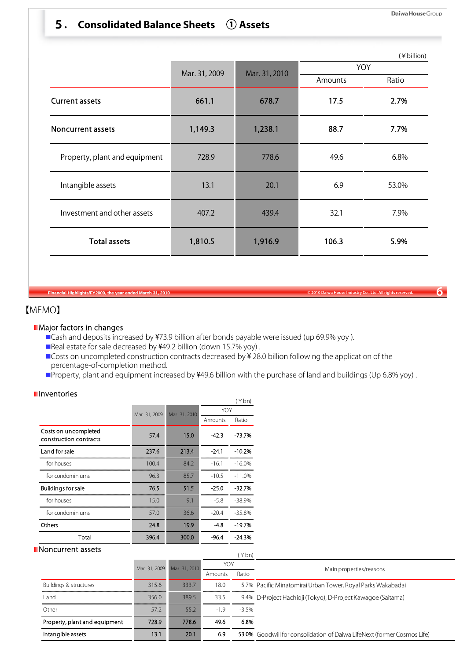## 5**. Consolidated Balance Sheets** ① **Assets**

|                               |               |               | (¥ billion)<br>YOY |       |  |  |
|-------------------------------|---------------|---------------|--------------------|-------|--|--|
|                               | Mar. 31, 2009 | Mar. 31, 2010 | Amounts            | Ratio |  |  |
| <b>Current assets</b>         | 661.1         | 678.7         | 17.5               | 2.7%  |  |  |
| <b>Noncurrent assets</b>      | 1,149.3       | 1,238.1       | 88.7               | 7.7%  |  |  |
| Property, plant and equipment | 728.9         | 778.6         | 49.6               | 6.8%  |  |  |
| Intangible assets             | 13.1          | 20.1          | 6.9                | 53.0% |  |  |
| Investment and other assets   | 407.2         | 439.4         | 32.1               | 7.9%  |  |  |
| <b>Total assets</b>           | 1,810.5       | 1,916.9       | 106.3              | 5.9%  |  |  |

**Fial Highlights/FY2009, the year ended March 31, 2010** 

### 【MEMO】

#### **Major factors in changes**

■ Cash and deposits increased by ¥73.9 billion after bonds payable were issued (up 69.9% yoy).

- ■Real estate for sale decreased by ¥49.2 billion (down 15.7% yoy).
- Costs on uncompleted construction contracts decreased by ¥ 28.0 billion following the application of the percentage-of-completion method.
- ■Property, plant and equipment increased by ¥49.6 billion with the purchase of land and buildings (Up 6.8% yoy).

(¥bn)

|                                                | Mar. 31, 2009 | Mar. 31. |
|------------------------------------------------|---------------|----------|
| Costs on uncompleted<br>construction contracts | 57.4          |          |
| Land for sale                                  | 237.6         |          |

#### **I**nventories

|                                                | Mar. 31, 2009 | Mar. 31, 2010 | YOY     |          |  |
|------------------------------------------------|---------------|---------------|---------|----------|--|
|                                                |               |               | Amounts | Ratio    |  |
| Costs on uncompleted<br>construction contracts | 57.4          | 15.0          | $-42.3$ | $-73.7%$ |  |
| Land for sale                                  | 237.6         | 213.4         | $-24.1$ | $-10.2%$ |  |
| for houses                                     | 100.4         | 84.2          | $-16.1$ | $-16.0%$ |  |
| for condominiums                               | 96.3          | 85.7          | $-10.5$ | $-11.0%$ |  |
| <b>Buildings for sale</b>                      | 76.5          | 51.5          | $-25.0$ | $-32.7%$ |  |
| for houses                                     | 15.0          | 9.1           | $-5.8$  | $-38.9%$ |  |
| for condominiums                               | 57.0          | 36.6          | $-20.4$ | $-35.8%$ |  |
| Others                                         | 24.8          | 19.9          | -4.8    | $-19.7%$ |  |
| Total                                          | 396.4         | 300.0         | -96.4   | $-24.3%$ |  |

#### **Noncurrent assets**

| Noncurrent assets             |               |               |         | $(\nless b n)$ |                                                                         |
|-------------------------------|---------------|---------------|---------|----------------|-------------------------------------------------------------------------|
|                               | Mar. 31, 2009 | Mar. 31, 2010 | YOY     |                | Main properties/reasons                                                 |
|                               |               |               | Amounts | Ratio          |                                                                         |
| Buildings & structures        | 315.6         | 333.7         | 18.0    |                | 5.7% Pacific Minatomirai Urban Tower, Royal Parks Wakabadai             |
| Land                          | 356.0         | 389.5         | 33.5    |                | 9.4% D-Project Hachioji (Tokyo), D-Project Kawagoe (Saitama)            |
| Other                         | 57.2          | 55.2          | $-1.9$  | $-3.5%$        |                                                                         |
| Property, plant and equipment | 728.9         | 778.6         | 49.6    | 6.8%           |                                                                         |
| Intangible assets             | 13.1          | 20.1          | 6.9     |                | 53.0% Goodwill for consolidation of Daiwa LifeNext (former Cosmos Life) |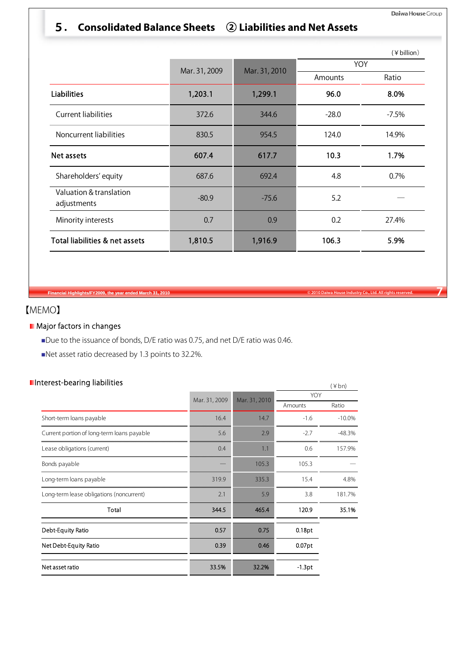## 5**. Consolidated Balance Sheets** ② **Liabilities and Net Assets**

|                                        |               |               |            | (¥ billion) |  |  |
|----------------------------------------|---------------|---------------|------------|-------------|--|--|
|                                        | Mar. 31, 2009 | Mar. 31, 2010 | <b>YOY</b> |             |  |  |
|                                        |               |               | Amounts    | Ratio       |  |  |
| <b>Liabilities</b>                     | 1,203.1       | 1,299.1       | 96.0       | 8.0%        |  |  |
| <b>Current liabilities</b>             | 372.6         | 344.6         | $-28.0$    | $-7.5%$     |  |  |
| Noncurrent liabilities                 | 830.5         | 954.5         | 124.0      | 14.9%       |  |  |
| Net assets                             | 607.4         | 617.7         | 10.3       | 1.7%        |  |  |
| Shareholders' equity                   | 687.6         | 692.4         | 4.8        | 0.7%        |  |  |
| Valuation & translation<br>adjustments | $-80.9$       | $-75.6$       | 5.2        |             |  |  |
| Minority interests                     | 0.7           | 0.9           | 0.2        | 27.4%       |  |  |
| Total liabilities & net assets         | 1,810.5       | 1,916.9       | 106.3      | 5.9%        |  |  |

**Financial Highlights/FY2009, the year ended March 31, 2010 Co. Co., Ltd. All rights reserved.** *Parameters and Daiwa House Industry Co., Ltd. All rights reserved.* **<b>7** 

【MEMO】

#### **Major factors in changes**

Due to the issuance of bonds, D/E ratio was 0.75, and net D/E ratio was 0.46.

Net asset ratio decreased by 1.3 points to 32.2%.

### Interest-bearing liabilities

| iterest-bearing liabilities                |               |               |           | $(*bn)$  |  |
|--------------------------------------------|---------------|---------------|-----------|----------|--|
|                                            | Mar. 31, 2009 | Mar. 31, 2010 | YOY       |          |  |
|                                            |               |               | Amounts   | Ratio    |  |
| Short-term loans payable                   | 16.4          | 14.7          | $-1.6$    | $-10.0%$ |  |
| Current portion of long-term loans payable | 5.6           | 2.9           | $-2.7$    | $-48.3%$ |  |
| Lease obligations (current)                | 0.4           | 1.1           | 0.6       | 157.9%   |  |
| Bonds payable                              |               | 105.3         | 105.3     |          |  |
| Long-term loans payable                    | 319.9         | 335.3         | 15.4      | 4.8%     |  |
| Long-term lease obligations (noncurrent)   | 2.1           | 5.9           | 3.8       | 181.7%   |  |
| Total                                      | 344.5         | 465.4         | 120.9     | 35.1%    |  |
| Debt-Equity Ratio                          | 0.57          | 0.75          | 0.18pt    |          |  |
| Net Debt-Equity Ratio                      | 0.39          | 0.46          | $0.07$ pt |          |  |
| Net asset ratio                            | 33.5%         | 32.2%         | $-1.3pt$  |          |  |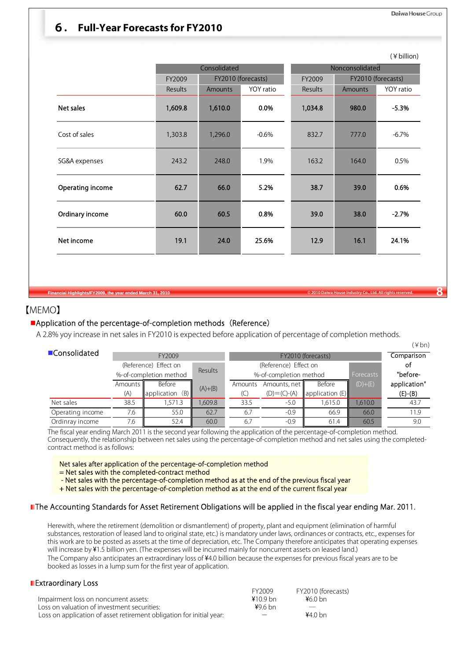### 6**. Full-Year Forecasts for FY2010**

|                  |         | Consolidated |                    | Nonconsolidated |         |                    |  |
|------------------|---------|--------------|--------------------|-----------------|---------|--------------------|--|
|                  | FY2009  |              | FY2010 (forecasts) | FY2009          |         | FY2010 (forecasts) |  |
|                  | Results | Amounts      | YOY ratio          | Results         | Amounts | YOY ratio          |  |
| Net sales        | 1,609.8 | 1,610.0      | 0.0%               | 1,034.8         | 980.0   | $-5.3%$            |  |
| Cost of sales    | 1,303.8 | 1,296.0      | $-0.6%$            | 832.7           | 777.0   | $-6.7%$            |  |
| SG&A expenses    | 243.2   | 248.0        | 1.9%               | 163.2           | 164.0   | 0.5%               |  |
| Operating income | 62.7    | 66.0         | 5.2%               | 38.7            | 39.0    | 0.6%               |  |
| Ordinary income  | 60.0    | 60.5         | 0.8%               | 39.0            | 38.0    | $-2.7%$            |  |
| Net income       | 19.1    | 24.0         | 25.6%              | 12.9            | 16.1    | 24.1%              |  |

### 【MEMO】

#### **Application of the percentage-of-completion methods (Reference)**

A 2.8% yoy increase in net sales in FY2010 is expected before application of percentage of completion methods.

|                  |                        |                       |                |                       |                        |                    |           | $(\nless b$ n) |
|------------------|------------------------|-----------------------|----------------|-----------------------|------------------------|--------------------|-----------|----------------|
| ■Consolidated    |                        | FY2009                |                |                       |                        | FY2010 (forecasts) |           | Comparison     |
|                  |                        | (Reference) Effect on | <b>Results</b> | (Reference) Effect on |                        |                    |           | оf             |
|                  | %-of-completion method |                       |                |                       | %-of-completion method |                    | Forecasts | "before-       |
|                  | Amounts I              | Before                | $(A)+(B)$      | Amounts               | Amounts, net           | Before             | $(D)+(E)$ | application"   |
|                  | (A)                    | application<br>(B)    |                | (C                    | $(D) = (C) - (A)$      | application (E)    |           | $(E)-(B)$      |
| Net sales        | 38.5                   | 571.3                 | ,609.8         | 33.5                  | $-5.0$                 | 1,615.0            | 1,610.0   | 43.7           |
| Operating income | 7.6                    | 55.0                  | 62.7           | 6.7                   | $-0.9$                 | 66.9               | 66.0      | 11.9           |
| Ordinray income  | 7.6                    | 52.4                  | 60.0           | 6.7                   | $-0.9$                 | 61.4               | 60.5      | 9.0            |

The fiscal year ending March 2011 is the second year following the application of the percentage-of-completion method. Consequently, the relationship between net sales using the percentage-of-completion method and net sales using the completedcontract method is as follows:

#### Net sales after application of the percentage-of-completion method

= Net sales with the completed-contract method

- Net sales with the percentage-of-completion method as at the end of the previous fiscal year

+ Net sales with the percentage-of-completion method as at the end of the current fiscal year

#### The Accounting Standards for Asset Retirement Obligations will be applied in the fiscal year ending Mar. 2011.

Herewith, where the retirement (demolition or dismantlement) of property, plant and equipment (elimination of harmful substances, restoration of leased land to original state, etc.) is mandatory under laws, ordinances or contracts, etc., expenses for this work are to be posted as assets at the time of depreciation, etc. The Company therefore anticipates that operating expenses will increase by ¥1.5 billion yen. (The expenses will be incurred mainly for noncurrent assets on leased land.) The Company also anticipates an extraordinary loss of ¥4.0 billion because the expenses for previous fiscal years are to be booked as losses in a lump sum for the first year of application.

#### **Extraordinary Loss**

|                                                                      | FY2009     | FY2010 (forecasts) |
|----------------------------------------------------------------------|------------|--------------------|
| Impairment loss on noncurrent assets:                                | $410.9$ bn | ¥60 bn             |
| Loss on valuation of investment securities:                          | $496$ bn   |                    |
| Loss on application of asset retirement obligation for initial year: |            | 44.0 <sub>bn</sub> |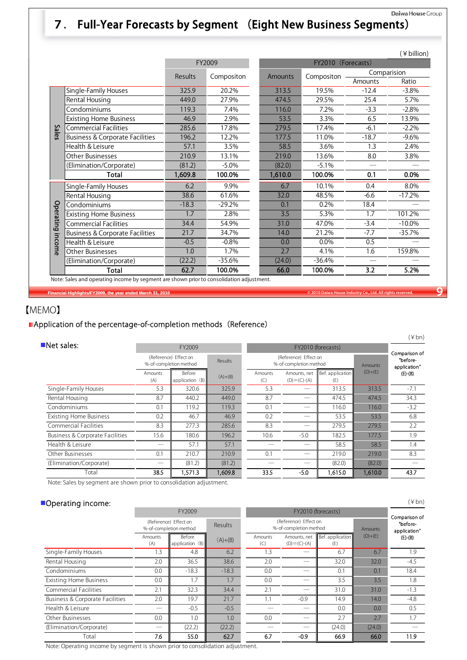### Daiwa House Group 7. Full-Year Forecasts by Segment (Eight New Business Segments)

|              |                                            |         |              |         |                    |             | (¥ billion) |  |
|--------------|--------------------------------------------|---------|--------------|---------|--------------------|-------------|-------------|--|
|              |                                            |         | FY2009       |         | FY2010 (Forecasts) |             |             |  |
|              |                                            | Results | Compositon   | Amounts | Compositon         | Comparision |             |  |
|              |                                            |         |              |         |                    | Amounts     | Ratio       |  |
|              | Single-Family Houses                       | 325.9   | 20.2%        | 313.5   | 19.5%              | $-12.4$     | $-3.8%$     |  |
|              | Rental Housing                             | 449.0   | 27.9%        | 474.5   | 29.5%              | 25.4        | 5.7%        |  |
|              | Condominiums                               | 119.3   | 7.4%         | 116.0   | 7.2%               | $-3.3$      | $-2.8%$     |  |
|              | <b>Existing Home Business</b>              | 46.9    | 2.9%         | 53.5    | 3.3%               | 6.5         | 13.9%       |  |
| <b>Sales</b> | <b>Commercial Facilities</b>               | 285.6   | 17.8%        | 279.5   | 17.4%              | $-6.1$      | $-2.2%$     |  |
|              | <b>Business &amp; Corporate Facilities</b> | 196.2   | 12.2%        | 177.5   | 11.0%              | $-18.7$     | $-9.6%$     |  |
|              | Health & Leisure                           | 57.1    | 3.5%<br>58.5 |         | 3.6%               | 1.3         | 2.4%        |  |
|              | Other Businesses                           | 210.9   | 13.1%        | 219.0   | 13.6%              | 8.0         | 3.8%        |  |
|              | (Elimination/Corporate)                    | (81.2)  | $-5.0%$      | (82.0)  | $-5.1%$            |             |             |  |
|              | <b>Total</b>                               | 1,609.8 | 100.0%       | 1,610.0 | 100.0%             | 0.1         | 0.0%        |  |
|              | Single-Family Houses                       | 6.2     | 9.9%         | 6.7     | 10.1%              | 0.4         | 8.0%        |  |
|              | Rental Housing                             | 38.6    | 61.6%        | 32.0    | 48.5%              | $-6.6$      | $-17.2%$    |  |
|              | Condominiums                               | $-18.3$ | $-29.2%$     | 0.1     | 0.2%               | 18.4        |             |  |
| Operating    | <b>Existing Home Business</b>              | 1.7     | 2.8%         | 3.5     | 5.3%               | 1.7         | 101.2%      |  |
|              | <b>Commercial Facilities</b>               | 34.4    | 54.9%        | 31.0    | 47.0%              | $-3.4$      | $-10.0\%$   |  |
|              | <b>Business &amp; Corporate Facilities</b> | 21.7    | 34.7%        | 14.0    | 21.2%              | $-7.7$      | $-35.7%$    |  |
| income       | Health & Leisure                           | $-0.5$  | $-0.8%$      | 0.0     | 0.0%               | 0.5         |             |  |
|              | Other Businesses                           | 1.0     | 1.7%         | 2.7     | 4.1%               | 1.6         | 159.8%      |  |
|              | (Elimination/Corporate)                    | (22.2)  | $-35.6%$     | (24.0)  | $-36.4%$           |             |             |  |
|              | <b>Total</b>                               | 62.7    | 100.0%       | 66.0    | 100.0%             | 3.2         | 5.2%        |  |

**Financial Highlights/FY2009, the year ended March 31, 2010 © 2010 Daiwa House Industry Co., Ltd. All rights reserved. 9**

## 【MEMO】

### **Application of the percentage-of-completion methods (Reference)**

|                                 |                                                 |                           |           |                |                                                 |                         |           | $(\nless b$ n)                            |
|---------------------------------|-------------------------------------------------|---------------------------|-----------|----------------|-------------------------------------------------|-------------------------|-----------|-------------------------------------------|
| $\blacksquare$ Net sales:       |                                                 | FY2009                    |           |                |                                                 | FY2010 (forecasts)      |           |                                           |
|                                 | (Reference) Effect on<br>%-of-completion method |                           | Results   |                | (Reference) Effect on<br>%-of-completion method |                         |           | Comparison of<br>"before-<br>application" |
|                                 | Amounts<br>(A)                                  | Before<br>application (B) | $(A)+(B)$ | Amounts<br>(C) | Amounts, net<br>$(D) = (C) - (A)$               | Bef. application<br>(E) | $(D)+(E)$ | $(E)-(B)$                                 |
| Single-Family Houses            | 5.3                                             | 320.6                     | 325.9     | 5.3            |                                                 | 313.5                   | 313.5     | $-7.1$                                    |
| Rental Housing                  | 8.7                                             | 440.2                     | 449.0     | 8.7            |                                                 | 474.5                   | 474.5     | 34.3                                      |
| Condominiums                    | 0.1                                             | 119.2                     | 119.3     | 0.1            |                                                 | 116.0                   | 116.0     | $-3.2$                                    |
| <b>Existing Home Business</b>   | 0.2                                             | 46.7                      | 46.9      | 0.2            |                                                 | 53.5                    | 53.5      | 6.8                                       |
| <b>Commercial Facilities</b>    | 8.3                                             | 277.3                     | 285.6     | 8.3            | $-$                                             | 279.5                   | 279.5     | 2.2                                       |
| Business & Corporate Facilities | 15.6                                            | 180.6                     | 196.2     | 10.6           | $-5.0$                                          | 182.5                   | 177.5     | 1.9                                       |
| Health & Leisure                |                                                 | 57.1                      | 57.1      |                |                                                 | 58.5                    | 58.5      | 1.4                                       |
| Other Businesses                | 0.1                                             | 210.7                     | 210.9     | 0.1            |                                                 | 219.0                   | 219.0     | 8.3                                       |
| (Elimination/Corporate)         |                                                 | (81.2)                    | (81.2)    |                |                                                 | (82.0)                  | (82.0)    |                                           |
| Total                           | 38.5                                            | .571.3                    | 1,609.8   | 33.5           | $-5.0$                                          | 1.615.0                 | 1,610.0   | 43.7                                      |

Note: Sales by segment are shown prior to consolidation adjustment.

### Operating income:

| Operating income:               |                                                 |                           |           |                |                                                 |                         |                | $(\nless b_n)$                            |
|---------------------------------|-------------------------------------------------|---------------------------|-----------|----------------|-------------------------------------------------|-------------------------|----------------|-------------------------------------------|
|                                 |                                                 | FY2009                    |           |                |                                                 | FY2010 (forecasts)      |                |                                           |
|                                 | (Reference) Effect on<br>%-of-completion method |                           | Results   |                | (Reference) Effect on<br>%-of-completion method |                         | <b>Amounts</b> | Comparison of<br>"before-<br>application" |
|                                 | Amounts<br>(A)                                  | Before<br>application (B) | $(A)+(B)$ | Amounts<br>(C) | Amounts, net<br>$(D) = (C) - (A)$               | Bef. application<br>(E) | $(D)+(E)$      | $(E)-(B)$                                 |
| Single-Family Houses            | 1.3                                             | 4.8                       | 6.2       | 1.3            |                                                 | 6.7                     | 6.7            | 1.9                                       |
| Rental Housing                  | 2.0                                             | 36.5                      | 38.6      | 2.0            |                                                 | 32.0                    | 32.0           | $-4.5$                                    |
| Condominiums                    | 0.0                                             | $-18.3$                   | $-18.3$   | 0.0            |                                                 | 0.1                     | 0.1            | 18.4                                      |
| <b>Existing Home Business</b>   | 0.0                                             | 1.7                       | 1.7       | 0.0            |                                                 | 3.5                     | 3.5            | 1.8                                       |
| Commercial Facilities           | 2.1                                             | 32.3                      | 34.4      | 2.1            |                                                 | 31.0                    | 31.0           | $-1.3$                                    |
| Business & Corporate Facilities | 2.0                                             | 19.7                      | 21.7      | 1.1            | $-0.9$                                          | 14.9                    | 14.0           | $-4.8$                                    |
| Health & Leisure                |                                                 | $-0.5$                    | $-0.5$    |                |                                                 | 0.0                     | 0.0            | 0.5                                       |
| Other Businesses                | 0.0                                             | 1.0                       | 1.0       | 0.0            |                                                 | 2.7                     | 2.7            | 1.7                                       |
| (Elimination/Corporate)         |                                                 | (22.2)                    | (22.2)    |                |                                                 | (24.0)                  | (24.0)         |                                           |
| Total                           | 7.6                                             | 55.0                      | 62.7      | 6.7            | $-0.9$                                          | 66.9                    | 66.0           | 11.9                                      |

Note: Operating income by segment is shown prior to consolidation adjustment.